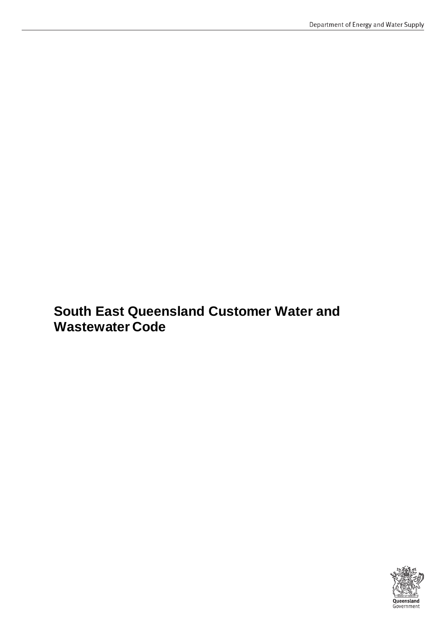# **South East Queensland Customer Water and Wastewater Code**

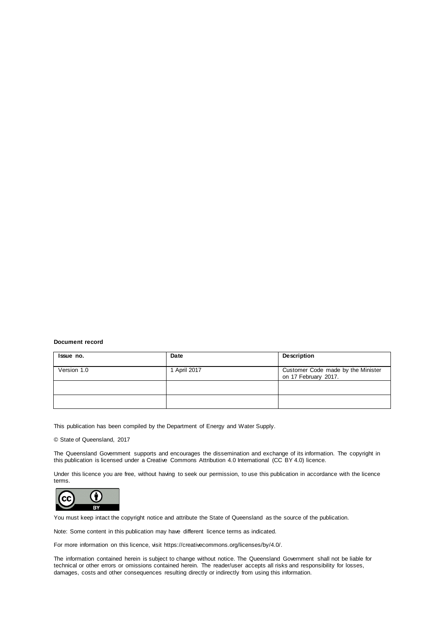#### **Document record**

| Issue no.   | Date         | Description                                                |
|-------------|--------------|------------------------------------------------------------|
| Version 1.0 | 1 April 2017 | Customer Code made by the Minister<br>on 17 February 2017. |
|             |              |                                                            |
|             |              |                                                            |

This publication has been compiled by the Department of Energy and Water Supply.

#### © State of Queensland, 2017

The Queensland Government supports and encourages the dissemination and exchange of its information. The copyright in this publication is licensed under a Creative Commons Attribution 4.0 International (CC BY 4.0) licence.

Under this licence you are free, without having to seek our permission, to use this publication in accordance with the licence terms.



You must keep intact the copyright notice and attribute the State of Queensland as the source of the publication.

Note: Some content in this publication may have different licence terms as indicated.

For more information on this licence, visit https://creativecommons.org/licenses/by/4.0/.

The information contained herein is subject to change without notice. The Queensland Government shall not be liable for technical or other errors or omissions contained herein. The reader/user accepts all risks and responsibility for losses, damages, costs and other consequences resulting directly or indirectly from using this information.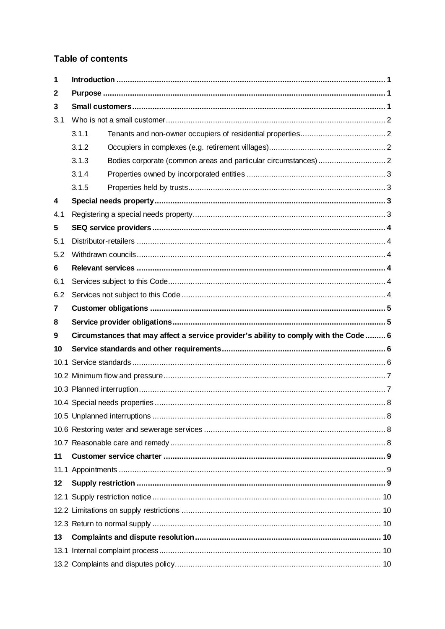### Table of contents

| 1   |                                                                                       |  |  |  |
|-----|---------------------------------------------------------------------------------------|--|--|--|
| 2   |                                                                                       |  |  |  |
| 3   |                                                                                       |  |  |  |
| 3.1 |                                                                                       |  |  |  |
|     | 3.1.1                                                                                 |  |  |  |
|     | 3.1.2                                                                                 |  |  |  |
|     | 3.1.3                                                                                 |  |  |  |
|     | 3.1.4                                                                                 |  |  |  |
|     | 3.1.5                                                                                 |  |  |  |
| 4   |                                                                                       |  |  |  |
| 4.1 |                                                                                       |  |  |  |
| 5   |                                                                                       |  |  |  |
| 5.1 |                                                                                       |  |  |  |
| 5.2 |                                                                                       |  |  |  |
| 6   |                                                                                       |  |  |  |
| 6.1 |                                                                                       |  |  |  |
| 6.2 |                                                                                       |  |  |  |
| 7   |                                                                                       |  |  |  |
| 8   |                                                                                       |  |  |  |
| 9   | Circumstances that may affect a service provider's ability to comply with the Code  6 |  |  |  |
| 10  |                                                                                       |  |  |  |
|     |                                                                                       |  |  |  |
|     |                                                                                       |  |  |  |
|     |                                                                                       |  |  |  |
|     |                                                                                       |  |  |  |
|     |                                                                                       |  |  |  |
|     |                                                                                       |  |  |  |
|     |                                                                                       |  |  |  |
| 11  |                                                                                       |  |  |  |
|     |                                                                                       |  |  |  |
| 12  |                                                                                       |  |  |  |
|     |                                                                                       |  |  |  |
|     |                                                                                       |  |  |  |
|     |                                                                                       |  |  |  |
| 13  |                                                                                       |  |  |  |
|     |                                                                                       |  |  |  |
|     |                                                                                       |  |  |  |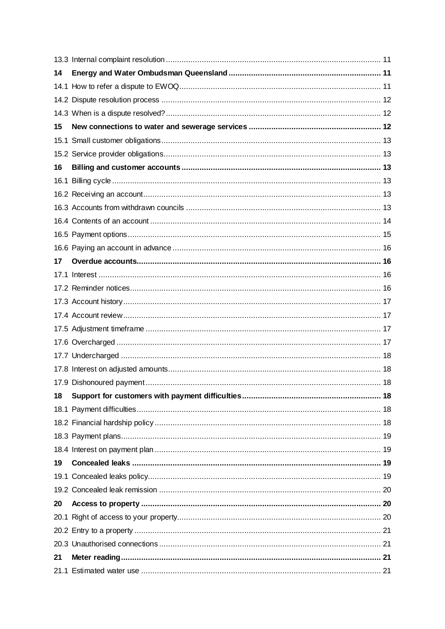| 14 |  |
|----|--|
|    |  |
|    |  |
|    |  |
| 15 |  |
|    |  |
|    |  |
| 16 |  |
|    |  |
|    |  |
|    |  |
|    |  |
|    |  |
|    |  |
| 17 |  |
|    |  |
|    |  |
|    |  |
|    |  |
|    |  |
|    |  |
|    |  |
|    |  |
|    |  |
| 18 |  |
|    |  |
|    |  |
|    |  |
|    |  |
| 19 |  |
|    |  |
|    |  |
| 20 |  |
|    |  |
|    |  |
|    |  |
| 21 |  |
|    |  |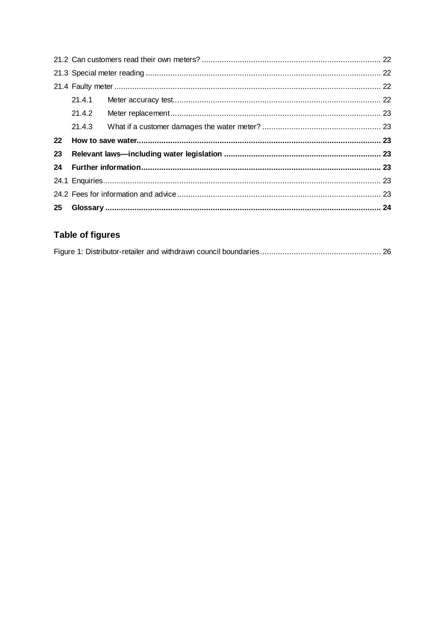|         | 21.4.2 |  |  |  |  |
|---------|--------|--|--|--|--|
|         |        |  |  |  |  |
| $22 \,$ |        |  |  |  |  |
| 23      |        |  |  |  |  |
| 24      |        |  |  |  |  |
|         |        |  |  |  |  |
|         |        |  |  |  |  |
| 25      |        |  |  |  |  |

# Table of figures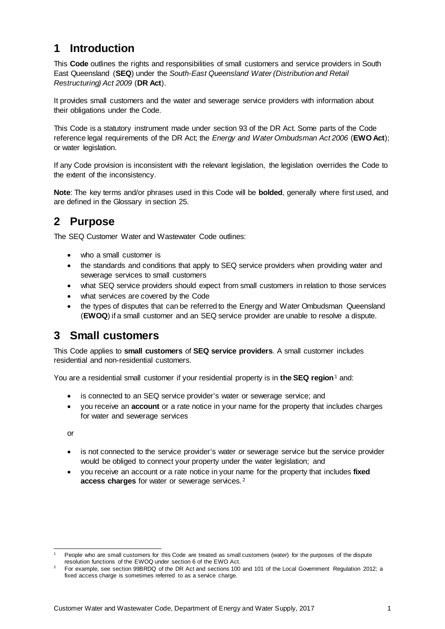# <span id="page-5-0"></span>**1 Introduction**

This **Code** outlines the rights and responsibilities of small customers and service providers in South East Queensland (**SEQ**) under the *South-East Queensland Water (Distribution and Retail Restructuring) Act 2009* (**DR Act**).

It provides small customers and the water and sewerage service providers with information about their obligations under the Code.

This Code is a statutory instrument made under section 93 of the DR Act. Some parts of the Code reference legal requirements of the DR Act; the *Energy and Water Ombudsman Act 2006* (**EWO Act**); or water legislation.

If any Code provision is inconsistent with the relevant legislation, the legislation overrides the Code to the extent of the inconsistency.

**Note**: The key terms and/or phrases used in this Code will be **bolded**, generally where first used, and are defined in the Glossary in section 25.

# <span id="page-5-1"></span>**2 Purpose**

The SEQ Customer Water and Wastewater Code outlines:

- who a small customer is
- the standards and conditions that apply to SEQ service providers when providing water and sewerage services to small customers
- what SEQ service providers should expect from small customers in relation to those services
- what services are covered by the Code
- the types of disputes that can be referred to the Energy and Water Ombudsman Queensland (**EWOQ**) if a small customer and an SEQ service provider are unable to resolve a dispute.

# <span id="page-5-2"></span>**3 Small customers**

This Code applies to **small customers** of **SEQ service providers**. A small customer includes residential and non-residential customers.

You are a residential small customer if your residential property is in **the SEQ region**[1](#page-5-3) and:

- is connected to an SEQ service provider's water or sewerage service; and
- you receive an **account** or a rate notice in your name for the property that includes charges for water and sewerage services

or

- is not connected to the service provider's water or sewerage service but the service provider would be obliged to connect your property under the water legislation; and
- you receive an account or a rate notice in your name for the property that includes **fixed access charges** for water or sewerage services. [2](#page-5-4)

<span id="page-5-3"></span>People who are small customers for this Code are treated as small customers (water) for the purposes of the dispute resolution functions of the EWOQ under section 6 of the EWO Act.

<span id="page-5-4"></span>For example, see section 99BRDQ of the DR Act and sections 100 and 101 of the Local Government Regulation 2012; a fixed access charge is sometimes referred to as a service charge.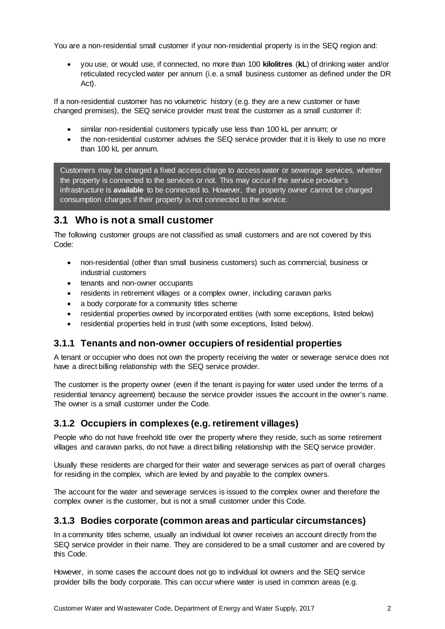You are a non-residential small customer if your non-residential property is in the SEQ region and:

• you use, or would use, if connected, no more than 100 **kilolitres** (**kL**) of drinking water and/or reticulated recycled water per annum (i.e. a small business customer as defined under the DR Act).

If a non-residential customer has no volumetric history (e.g. they are a new customer or have changed premises), the SEQ service provider must treat the customer as a small customer if:

- similar non-residential customers typically use less than 100 kL per annum; or
- the non-residential customer advises the SEQ service provider that it is likely to use no more than 100 kL per annum.

Customers may be charged a fixed access charge to access water or sewerage services, whether the property is connected to the services or not. This may occur if the service provider's infrastructure is **available** to be connected to. However, the property owner cannot be charged consumption charges if their property is not connected to the service.

### <span id="page-6-0"></span>**3.1 Who is not a small customer**

The following customer groups are not classified as small customers and are not covered by this Code:

- non-residential (other than small business customers) such as commercial, business or industrial customers
- tenants and non-owner occupants
- residents in retirement villages or a complex owner, including caravan parks
- a body corporate for a community titles scheme
- residential properties owned by incorporated entities (with some exceptions, listed below)
- residential properties held in trust (with some exceptions, listed below).

#### <span id="page-6-1"></span>**3.1.1 Tenants and non-owner occupiers of residential properties**

A tenant or occupier who does not own the property receiving the water or sewerage service does not have a direct billing relationship with the SEQ service provider.

The customer is the property owner (even if the tenant is paying for water used under the terms of a residential tenancy agreement) because the service provider issues the account in the owner's name. The owner is a small customer under the Code.

#### <span id="page-6-2"></span>**3.1.2 Occupiers in complexes (e.g. retirement villages)**

People who do not have freehold title over the property where they reside, such as some retirement villages and caravan parks, do not have a direct billing relationship with the SEQ service provider.

Usually these residents are charged for their water and sewerage services as part of overall charges for residing in the complex, which are levied by and payable to the complex owners.

The account for the water and sewerage services is issued to the complex owner and therefore the complex owner is the customer, but is not a small customer under this Code.

#### <span id="page-6-3"></span>**3.1.3 Bodies corporate (common areas and particular circumstances)**

In a community titles scheme, usually an individual lot owner receives an account directly from the SEQ service provider in their name. They are considered to be a small customer and are covered by this Code.

However, in some cases the account does not go to individual lot owners and the SEQ service provider bills the body corporate. This can occur where water is used in common areas (e.g.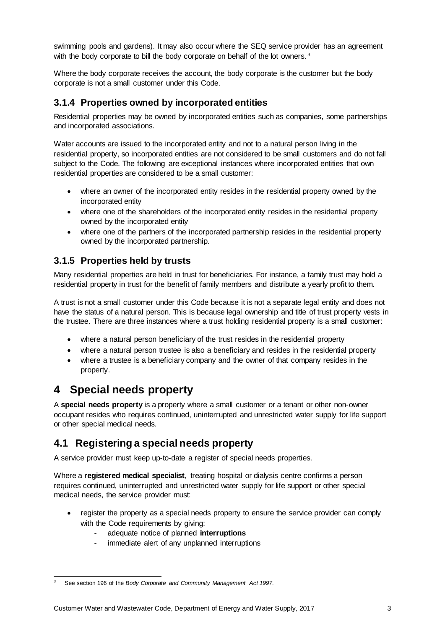swimming pools and gardens). It may also occur where the SEQ service provider has an agreement with the body corporate to bill the body corporate on behalf of the lot owners.<sup>[3](#page-7-4)</sup>

Where the body corporate receives the account, the body corporate is the customer but the body corporate is not a small customer under this Code.

### <span id="page-7-0"></span>**3.1.4 Properties owned by incorporated entities**

Residential properties may be owned by incorporated entities such as companies, some partnerships and incorporated associations.

Water accounts are issued to the incorporated entity and not to a natural person living in the residential property, so incorporated entities are not considered to be small customers and do not fall subject to the Code. The following are exceptional instances where incorporated entities that own residential properties are considered to be a small customer:

- where an owner of the incorporated entity resides in the residential property owned by the incorporated entity
- where one of the shareholders of the incorporated entity resides in the residential property owned by the incorporated entity
- where one of the partners of the incorporated partnership resides in the residential property owned by the incorporated partnership.

### <span id="page-7-1"></span>**3.1.5 Properties held by trusts**

Many residential properties are held in trust for beneficiaries. For instance, a family trust may hold a residential property in trust for the benefit of family members and distribute a yearly profit to them.

A trust is not a small customer under this Code because it is not a separate legal entity and does not have the status of a natural person. This is because legal ownership and title of trust property vests in the trustee. There are three instances where a trust holding residential property is a small customer:

- where a natural person beneficiary of the trust resides in the residential property
- where a natural person trustee is also a beneficiary and resides in the residential property
- where a trustee is a beneficiary company and the owner of that company resides in the property.

# <span id="page-7-2"></span>**4 Special needs property**

A **special needs property** is a property where a small customer or a tenant or other non-owner occupant resides who requires continued, uninterrupted and unrestricted water supply for life support or other special medical needs.

### <span id="page-7-3"></span>**4.1 Registering a special needs property**

A service provider must keep up-to-date a register of special needs properties.

Where a **registered medical specialist**, treating hospital or dialysis centre confirms a person requires continued, uninterrupted and unrestricted water supply for life support or other special medical needs, the service provider must:

- register the property as a special needs property to ensure the service provider can comply with the Code requirements by giving:
	- adequate notice of planned **interruptions**
	- immediate alert of any unplanned interruptions

<span id="page-7-4"></span> <sup>3</sup> See section 196 of the *Body Corporate and Community Management Act 1997*.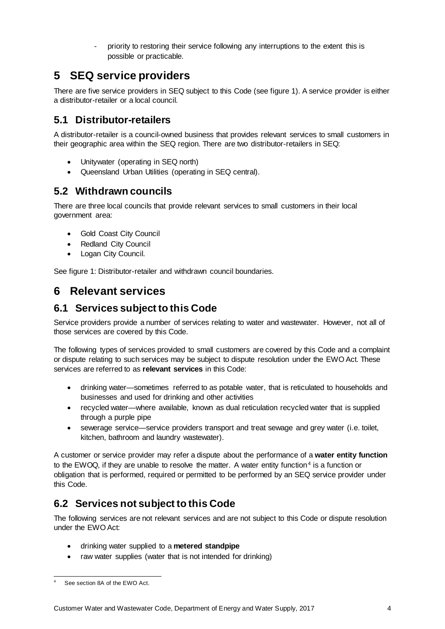priority to restoring their service following any interruptions to the extent this is possible or practicable.

# <span id="page-8-0"></span>**5 SEQ service providers**

There are five service providers in SEQ subject to this Code (see figure 1). A service provider is either a distributor-retailer or a local council.

# <span id="page-8-1"></span>**5.1 Distributor-retailers**

A distributor-retailer is a council-owned business that provides relevant services to small customers in their geographic area within the SEQ region. There are two distributor-retailers in SEQ:

- Unitywater (operating in SEQ north)
- Queensland Urban Utilities (operating in SEQ central).

## <span id="page-8-2"></span>**5.2 Withdrawn councils**

There are three local councils that provide relevant services to small customers in their local government area:

- Gold Coast City Council
- Redland City Council
- Logan City Council.

See figure 1: Distributor-retailer and withdrawn council boundaries.

# <span id="page-8-3"></span>**6 Relevant services**

## <span id="page-8-4"></span>**6.1 Services subject to this Code**

Service providers provide a number of services relating to water and wastewater. However, not all of those services are covered by this Code.

The following types of services provided to small customers are covered by this Code and a complaint or dispute relating to such services may be subject to dispute resolution under the EWO Act. These services are referred to as **relevant services** in this Code:

- drinking water—sometimes referred to as potable water, that is reticulated to households and businesses and used for drinking and other activities
- recycled water—where available, known as dual reticulation recycled water that is supplied through a purple pipe
- sewerage service—service providers transport and treat sewage and grey water (i.e. toilet, kitchen, bathroom and laundry wastewater).

A customer or service provider may refer a dispute about the performance of a **water entity function** to the EWOQ, if they are unable to resolve the matter. A water entity function<sup>[4](#page-8-6)</sup> is a function or obligation that is performed, required or permitted to be performed by an SEQ service provider under this Code.

# <span id="page-8-5"></span>**6.2 Services not subject to this Code**

The following services are not relevant services and are not subject to this Code or dispute resolution under the EWO Act:

- drinking water supplied to a **metered standpipe**
- raw water supplies (water that is not intended for drinking)

<span id="page-8-6"></span>See section 8A of the EWO Act.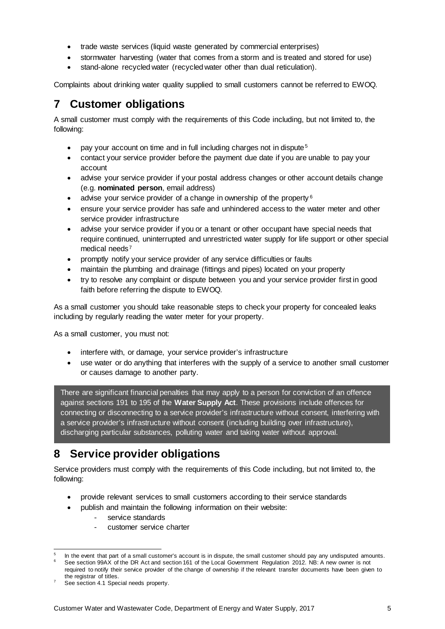- trade waste services (liquid waste generated by commercial enterprises)
- stormwater harvesting (water that comes from a storm and is treated and stored for use)
- stand-alone recycled water (recycled water other than dual reticulation).

Complaints about drinking water quality supplied to small customers cannot be referred to EWOQ.

# <span id="page-9-0"></span>**7 Customer obligations**

A small customer must comply with the requirements of this Code including, but not limited to, the following:

- pay your account on time and in full including charges not in dispute<sup>[5](#page-9-2)</sup>
- contact your service provider before the payment due date if you are unable to pay your account
- advise your service provider if your postal address changes or other account details change (e.g. **nominated person**, email address)
- advise your service provider of a change in ownership of the property  $6$
- ensure your service provider has safe and unhindered access to the water meter and other service provider infrastructure
- advise your service provider if you or a tenant or other occupant have special needs that require continued, uninterrupted and unrestricted water supply for life support or other special medical needs [7](#page-9-4)
- promptly notify your service provider of any service difficulties or faults
- maintain the plumbing and drainage (fittings and pipes) located on your property
- try to resolve any complaint or dispute between you and your service provider first in good faith before referring the dispute to EWOQ.

As a small customer you should take reasonable steps to check your property for concealed leaks including by regularly reading the water meter for your property.

As a small customer, you must not:

- interfere with, or damage, your service provider's infrastructure
- use water or do anything that interferes with the supply of a service to another small customer or causes damage to another party.

There are significant financial penalties that may apply to a person for conviction of an offence against sections 191 to 195 of the **Water Supply Act**. These provisions include offences for connecting or disconnecting to a service provider's infrastructure without consent, interfering with a service provider's infrastructure without consent (including building over infrastructure), discharging particular substances, polluting water and taking water without approval.

# <span id="page-9-1"></span>**8 Service provider obligations**

Service providers must comply with the requirements of this Code including, but not limited to, the following:

- provide relevant services to small customers according to their service standards
- publish and maintain the following information on their website:
	- service standards
	- customer service charter

<span id="page-9-3"></span><span id="page-9-2"></span>In the event that part of a small customer's account is in dispute, the small customer should pay any undisputed amounts. <sup>6</sup> See section 99AX of the DR Act and section 161 of the Local Government Regulation 2012. NB: A new owner is not

required to notify their service provider of the change of ownership if the relevant transfer documents have been given to the registrar of titles.

<span id="page-9-4"></span>See section 4.1 Special needs property.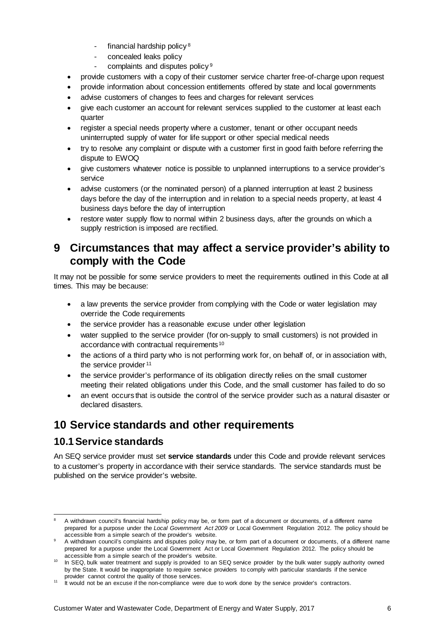- $-$  financial hardship policy  $8$
- concealed leaks policy
- complaints and disputes policy<sup>[9](#page-10-4)</sup>
- provide customers with a copy of their customer service charter free-of-charge upon request
- provide information about concession entitlements offered by state and local governments
- advise customers of changes to fees and charges for relevant services
- give each customer an account for relevant services supplied to the customer at least each quarter
- register a special needs property where a customer, tenant or other occupant needs uninterrupted supply of water for life support or other special medical needs
- try to resolve any complaint or dispute with a customer first in good faith before referring the dispute to EWOQ
- give customers whatever notice is possible to unplanned interruptions to a service provider's service
- advise customers (or the nominated person) of a planned interruption at least 2 business days before the day of the interruption and in relation to a special needs property, at least 4 business days before the day of interruption
- restore water supply flow to normal within 2 business days, after the grounds on which a supply restriction is imposed are rectified.

## <span id="page-10-0"></span>**9 Circumstances that may affect a service provider's ability to comply with the Code**

It may not be possible for some service providers to meet the requirements outlined in this Code at all times. This may be because:

- a law prevents the service provider from complying with the Code or water legislation may override the Code requirements
- the service provider has a reasonable excuse under other legislation
- water supplied to the service provider (for on-supply to small customers) is not provided in accordance with contractual requirements [10](#page-10-5)
- the actions of a third party who is not performing work for, on behalf of, or in association with, the service provider <sup>[11](#page-10-6)</sup>
- the service provider's performance of its obligation directly relies on the small customer meeting their related obligations under this Code, and the small customer has failed to do so
- an event occurs that is outside the control of the service provider such as a natural disaster or declared disasters.

# <span id="page-10-1"></span>**10 Service standards and other requirements**

### <span id="page-10-2"></span>**10.1Service standards**

An SEQ service provider must set **service standards** under this Code and provide relevant services to a customer's property in accordance with their service standards. The service standards must be published on the service provider's website.

<span id="page-10-3"></span> <sup>8</sup> A withdrawn council's financial hardship policy may be, or form part of a document or documents, of a different name prepared for a purpose under the *Local Government Act 2009* or Local Government Regulation 2012. The policy should be accessible from a simple search of the provider's website.

<span id="page-10-4"></span><sup>9</sup> A withdrawn council's complaints and disputes policy may be, or form part of a document or documents, of a different name prepared for a purpose under the Local Government Act or Local Government Regulation 2012. The policy should be accessible from a simple search of the provider's website.

<span id="page-10-5"></span><sup>10</sup> In SEQ, bulk water treatment and supply is provided to an SEQ service provider by the bulk water supply authority owned by the State. It would be inappropriate to require service providers to comply with particular standards if the service provider cannot control the quality of those services.

<span id="page-10-6"></span><sup>&</sup>lt;sup>11</sup> It would not be an excuse if the non-compliance were due to work done by the service provider's contractors.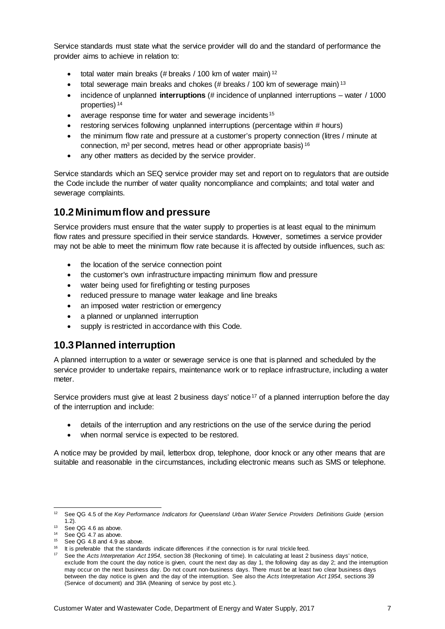Service standards must state what the service provider will do and the standard of performance the provider aims to achieve in relation to:

- $\bullet$  total water main breaks (# breaks / 100 km of water main)<sup>[12](#page-11-2)</sup>
- total sewerage main breaks and chokes (# breaks  $/$  100 km of sewerage main)  $^{13}$  $^{13}$  $^{13}$
- incidence of unplanned **interruptions** (# incidence of unplanned interruptions water / 1000 properties) [14](#page-11-4)
- average response time for water and sewerage incidents<sup>[15](#page-11-5)</sup>
- restoring services following unplanned interruptions (percentage within # hours)
- the minimum flow rate and pressure at a customer's property connection (litres / minute at connection,  $m^3$  per second, metres head or other appropriate basis)  $16$
- any other matters as decided by the service provider.

Service standards which an SEQ service provider may set and report on to regulators that are outside the Code include the number of water quality noncompliance and complaints; and total water and sewerage complaints.

### <span id="page-11-0"></span>**10.2 Minimum flow and pressure**

Service providers must ensure that the water supply to properties is at least equal to the minimum flow rates and pressure specified in their service standards. However, sometimes a service provider may not be able to meet the minimum flow rate because it is affected by outside influences, such as:

- the location of the service connection point
- the customer's own infrastructure impacting minimum flow and pressure
- water being used for firefighting or testing purposes
- reduced pressure to manage water leakage and line breaks
- an imposed water restriction or emergency
- a planned or unplanned interruption
- supply is restricted in accordance with this Code.

### <span id="page-11-1"></span>**10.3Planned interruption**

A planned interruption to a water or sewerage service is one that is planned and scheduled by the service provider to undertake repairs, maintenance work or to replace infrastructure, including a water meter.

Service providers must give at least 2 business days' notice<sup>[17](#page-11-7)</sup> of a planned interruption before the day of the interruption and include:

- details of the interruption and any restrictions on the use of the service during the period
- when normal service is expected to be restored.

A notice may be provided by mail, letterbox drop, telephone, door knock or any other means that are suitable and reasonable in the circumstances, including electronic means such as SMS or telephone.

<span id="page-11-2"></span> <sup>12</sup> See QG 4.5 of the *Key Performance Indicators for Queensland Urban Water Service Providers Definitions Guide* (version 1.2).

<span id="page-11-3"></span> $13$  See QG 4.6 as above.

<span id="page-11-4"></span><sup>&</sup>lt;sup>14</sup> See QG 4.7 as above.

<span id="page-11-5"></span> $15$  See QG 4.8 and 4.9 as above.

It is preferable that the standards indicate differences if the connection is for rural trickle feed.

<span id="page-11-7"></span><span id="page-11-6"></span><sup>17</sup> See the *Acts Interpretation Act 1954*, section 38 (Reckoning of time). In calculating at least 2 business days' notice, exclude from the count the day notice is given, count the next day as day 1, the following day as day 2; and the interruption may occur on the next business day. Do not count non-business days. There must be at least two clear business days between the day notice is given and the day of the interruption. See also the *Acts Interpretation Act 1954*, sections 39 (Service of document) and 39A (Meaning of service by post etc.).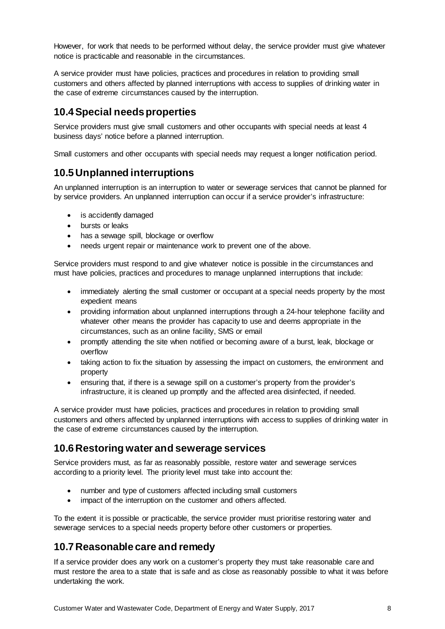However, for work that needs to be performed without delay, the service provider must give whatever notice is practicable and reasonable in the circumstances.

A service provider must have policies, practices and procedures in relation to providing small customers and others affected by planned interruptions with access to supplies of drinking water in the case of extreme circumstances caused by the interruption.

### <span id="page-12-0"></span>**10.4Special needs properties**

Service providers must give small customers and other occupants with special needs at least 4 business days' notice before a planned interruption.

Small customers and other occupants with special needs may request a longer notification period.

### <span id="page-12-1"></span>**10.5Unplanned interruptions**

An unplanned interruption is an interruption to water or sewerage services that cannot be planned for by service providers. An unplanned interruption can occur if a service provider's infrastructure:

- is accidently damaged
- bursts or leaks
- has a sewage spill, blockage or overflow
- needs urgent repair or maintenance work to prevent one of the above.

Service providers must respond to and give whatever notice is possible in the circumstances and must have policies, practices and procedures to manage unplanned interruptions that include:

- immediately alerting the small customer or occupant at a special needs property by the most expedient means
- providing information about unplanned interruptions through a 24-hour telephone facility and whatever other means the provider has capacity to use and deems appropriate in the circumstances, such as an online facility, SMS or email
- promptly attending the site when notified or becoming aware of a burst, leak, blockage or overflow
- taking action to fix the situation by assessing the impact on customers, the environment and property
- ensuring that, if there is a sewage spill on a customer's property from the provider's infrastructure, it is cleaned up promptly and the affected area disinfected, if needed.

A service provider must have policies, practices and procedures in relation to providing small customers and others affected by unplanned interruptions with access to supplies of drinking water in the case of extreme circumstances caused by the interruption.

### <span id="page-12-2"></span>**10.6Restoring water and sewerage services**

Service providers must, as far as reasonably possible, restore water and sewerage services according to a priority level. The priority level must take into account the:

- number and type of customers affected including small customers
- impact of the interruption on the customer and others affected.

To the extent it is possible or practicable, the service provider must prioritise restoring water and sewerage services to a special needs property before other customers or properties.

### <span id="page-12-3"></span>**10.7Reasonable care and remedy**

If a service provider does any work on a customer's property they must take reasonable care and must restore the area to a state that is safe and as close as reasonably possible to what it was before undertaking the work.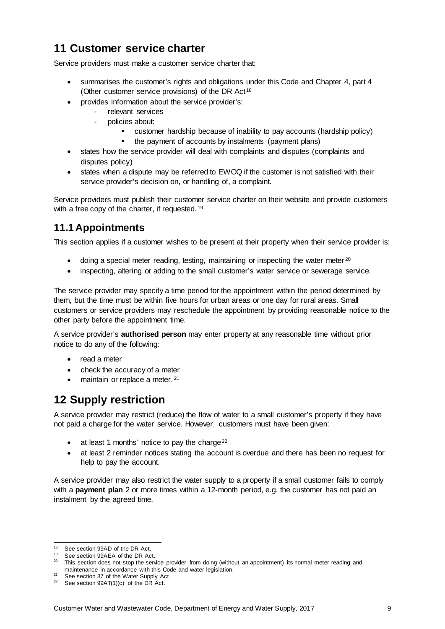# <span id="page-13-0"></span>**11 Customer service charter**

Service providers must make a customer service charter that:

- summarises the customer's rights and obligations under this Code and Chapter 4, part 4 (Other customer service provisions) of the DR Act<sup>[18](#page-13-3)</sup>
- provides information about the service provider's:
	- relevant services
		- policies about:
			- customer hardship because of inability to pay accounts (hardship policy)
			- the payment of accounts by instalments (payment plans)
- states how the service provider will deal with complaints and disputes (complaints and disputes policy)
- states when a dispute may be referred to EWOQ if the customer is not satisfied with their service provider's decision on, or handling of, a complaint.

Service providers must publish their customer service charter on their website and provide customers with a free copy of the charter, if requested. <sup>[19](#page-13-4)</sup>

## <span id="page-13-1"></span>**11.1Appointments**

This section applies if a customer wishes to be present at their property when their service provider is:

- doing a special meter reading, testing, maintaining or inspecting the water meter <sup>[20](#page-13-5)</sup>
- inspecting, altering or adding to the small customer's water service or sewerage service.

The service provider may specify a time period for the appointment within the period determined by them, but the time must be within five hours for urban areas or one day for rural areas. Small customers or service providers may reschedule the appointment by providing reasonable notice to the other party before the appointment time.

A service provider's **authorised person** may enter property at any reasonable time without prior notice to do any of the following:

- read a meter
- check the accuracy of a meter
- maintain or replace a meter. [21](#page-13-6)

# <span id="page-13-2"></span>**12 Supply restriction**

A service provider may restrict (reduce) the flow of water to a small customer's property if they have not paid a charge for the water service. However, customers must have been given:

- $\bullet$  at least 1 months' notice to pay the charge<sup>[22](#page-13-7)</sup>
- at least 2 reminder notices stating the account is overdue and there has been no request for help to pay the account.

A service provider may also restrict the water supply to a property if a small customer fails to comply with a **payment plan** 2 or more times within a 12-month period, e.g. the customer has not paid an instalment by the agreed time.

<span id="page-13-3"></span><sup>&</sup>lt;sup>18</sup> See section 99AD of the DR Act.<br><sup>19</sup> See section 99AEA of the DR Ac

See section 99AEA of the DR Act.

<span id="page-13-5"></span><span id="page-13-4"></span><sup>&</sup>lt;sup>20</sup> This section does not stop the service provider from doing (without an appointment) its normal meter reading and maintenance in accordance with this Code and water legislation.

<span id="page-13-6"></span><sup>&</sup>lt;sup>21</sup> See section 37 of the Water Supply Act.

<span id="page-13-7"></span> $22$  See section 99AT(1)(c) of the DR Act.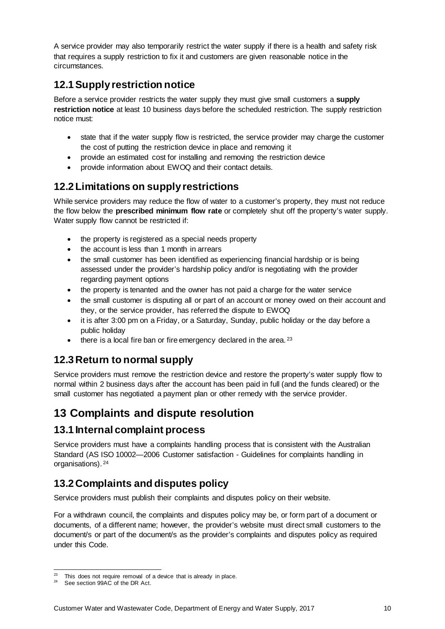A service provider may also temporarily restrict the water supply if there is a health and safety risk that requires a supply restriction to fix it and customers are given reasonable notice in the circumstances.

# <span id="page-14-0"></span>**12.1Supply restriction notice**

Before a service provider restricts the water supply they must give small customers a **supply restriction notice** at least 10 business days before the scheduled restriction. The supply restriction notice must:

- state that if the water supply flow is restricted, the service provider may charge the customer the cost of putting the restriction device in place and removing it
- provide an estimated cost for installing and removing the restriction device
- provide information about EWOQ and their contact details.

## <span id="page-14-1"></span>**12.2Limitations on supply restrictions**

While service providers may reduce the flow of water to a customer's property, they must not reduce the flow below the **prescribed minimum flow rate** or completely shut off the property's water supply. Water supply flow cannot be restricted if:

- the property is registered as a special needs property
- the account is less than 1 month in arrears
- the small customer has been identified as experiencing financial hardship or is being assessed under the provider's hardship policy and/or is negotiating with the provider regarding payment options
- the property is tenanted and the owner has not paid a charge for the water service
- the small customer is disputing all or part of an account or money owed on their account and they, or the service provider, has referred the dispute to EWOQ
- it is after 3:00 pm on a Friday, or a Saturday, Sunday, public holiday or the day before a public holiday
- $\bullet$  there is a local fire ban or fire emergency declared in the area.<sup>[23](#page-14-6)</sup>

## <span id="page-14-2"></span>**12.3Return to normal supply**

Service providers must remove the restriction device and restore the property's water supply flow to normal within 2 business days after the account has been paid in full (and the funds cleared) or the small customer has negotiated a payment plan or other remedy with the service provider.

# <span id="page-14-3"></span>**13 Complaints and dispute resolution**

### <span id="page-14-4"></span>**13.1 Internal complaint process**

Service providers must have a complaints handling process that is consistent with the Australian Standard (AS ISO 10002—2006 Customer satisfaction - Guidelines for complaints handling in organisations). [24](#page-14-7)

# <span id="page-14-5"></span>**13.2Complaints and disputes policy**

Service providers must publish their complaints and disputes policy on their website.

For a withdrawn council, the complaints and disputes policy may be, or form part of a document or documents, of a different name; however, the provider's website must direct small customers to the document/s or part of the document/s as the provider's complaints and disputes policy as required under this Code.

<span id="page-14-6"></span><sup>&</sup>lt;sup>23</sup> This does not require removal of a device that is already in place.

<span id="page-14-7"></span>See section 99AC of the DR Act.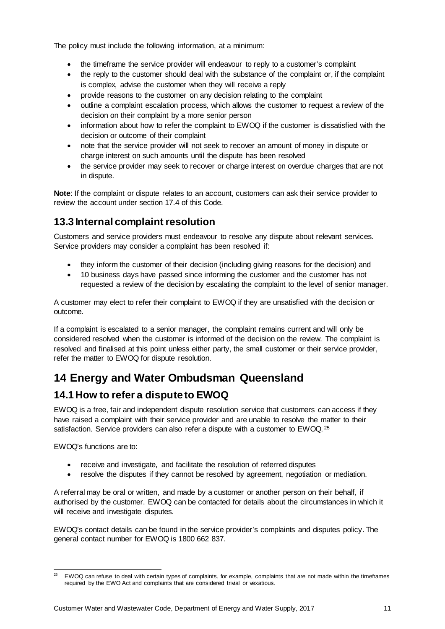The policy must include the following information, at a minimum:

- the timeframe the service provider will endeavour to reply to a customer's complaint
- the reply to the customer should deal with the substance of the complaint or, if the complaint is complex, advise the customer when they will receive a reply
- provide reasons to the customer on any decision relating to the complaint
- outline a complaint escalation process, which allows the customer to request a review of the decision on their complaint by a more senior person
- information about how to refer the complaint to EWOQ if the customer is dissatisfied with the decision or outcome of their complaint
- note that the service provider will not seek to recover an amount of money in dispute or charge interest on such amounts until the dispute has been resolved
- the service provider may seek to recover or charge interest on overdue charges that are not in dispute.

**Note**: If the complaint or dispute relates to an account, customers can ask their service provider to review the account under section 17.4 of this Code.

## <span id="page-15-0"></span>**13.3 Internal complaint resolution**

Customers and service providers must endeavour to resolve any dispute about relevant services. Service providers may consider a complaint has been resolved if:

- they inform the customer of their decision (including giving reasons for the decision) and
- 10 business days have passed since informing the customer and the customer has not requested a review of the decision by escalating the complaint to the level of senior manager.

A customer may elect to refer their complaint to EWOQ if they are unsatisfied with the decision or outcome.

If a complaint is escalated to a senior manager, the complaint remains current and will only be considered resolved when the customer is informed of the decision on the review. The complaint is resolved and finalised at this point unless either party, the small customer or their service provider, refer the matter to EWOQ for dispute resolution.

# <span id="page-15-1"></span>**14 Energy and Water Ombudsman Queensland**

## <span id="page-15-2"></span>**14.1How to refer a dispute to EWOQ**

EWOQ is a free, fair and independent dispute resolution service that customers can access if they have raised a complaint with their service provider and are unable to resolve the matter to their satisfaction. Service providers can also refer a dispute with a customer to EWOQ.<sup>[25](#page-15-3)</sup>

EWOQ's functions are to:

- receive and investigate, and facilitate the resolution of referred disputes
- resolve the disputes if they cannot be resolved by agreement, negotiation or mediation.

A referral may be oral or written, and made by a customer or another person on their behalf, if authorised by the customer. EWOQ can be contacted for details about the circumstances in which it will receive and investigate disputes.

EWOQ's contact details can be found in the service provider's complaints and disputes policy. The general contact number for EWOQ is 1800 662 837.

<span id="page-15-3"></span><sup>&</sup>lt;sup>25</sup> EWOQ can refuse to deal with certain types of complaints, for example, complaints that are not made within the timeframes required by the EWO Act and complaints that are considered trivial or vexatious.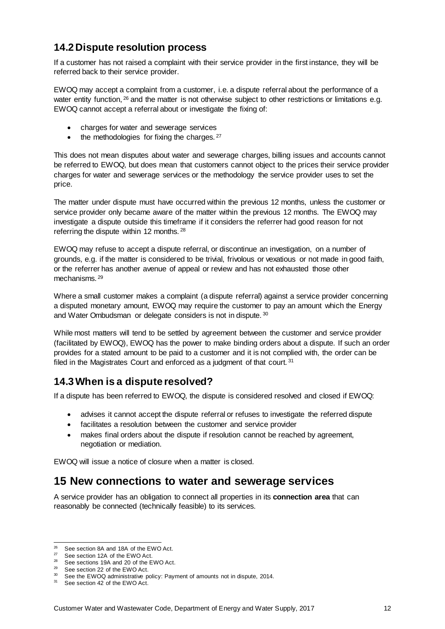### <span id="page-16-0"></span>**14.2Dispute resolution process**

If a customer has not raised a complaint with their service provider in the first instance, they will be referred back to their service provider.

EWOQ may accept a complaint from a customer, i.e. a dispute referral about the performance of a water entity function, <sup>[26](#page-16-3)</sup> and the matter is not otherwise subject to other restrictions or limitations e.g. EWOQ cannot accept a referral about or investigate the fixing of:

- charges for water and sewerage services
- $\bullet$  the methodologies for fixing the charges.  $27$

This does not mean disputes about water and sewerage charges, billing issues and accounts cannot be referred to EWOQ, but does mean that customers cannot object to the prices their service provider charges for water and sewerage services or the methodology the service provider uses to set the price.

The matter under dispute must have occurred within the previous 12 months, unless the customer or service provider only became aware of the matter within the previous 12 months. The EWOQ may investigate a dispute outside this timeframe if it considers the referrer had good reason for not referring the dispute within 12 months. [28](#page-16-5)

EWOQ may refuse to accept a dispute referral, or discontinue an investigation, on a number of grounds, e.g. if the matter is considered to be trivial, frivolous or vexatious or not made in good faith, or the referrer has another avenue of appeal or review and has not exhausted those other mechanisms. [29](#page-16-6)

Where a small customer makes a complaint (a dispute referral) against a service provider concerning a disputed monetary amount, EWOQ may require the customer to pay an amount which the Energy and Water Ombudsman or delegate considers is not in dispute. [30](#page-16-7)

While most matters will tend to be settled by agreement between the customer and service provider (facilitated by EWOQ), EWOQ has the power to make binding orders about a dispute. If such an order provides for a stated amount to be paid to a customer and it is not complied with, the order can be filed in the Magistrates Court and enforced as a judgment of that court. [31](#page-16-8)

### <span id="page-16-1"></span>**14.3When is a dispute resolved?**

If a dispute has been referred to EWOQ, the dispute is considered resolved and closed if EWOQ:

- advises it cannot accept the dispute referral or refuses to investigate the referred dispute
- facilitates a resolution between the customer and service provider
- makes final orders about the dispute if resolution cannot be reached by agreement, negotiation or mediation.

EWOQ will issue a notice of closure when a matter is closed.

### <span id="page-16-2"></span>**15 New connections to water and sewerage services**

A service provider has an obligation to connect all properties in its **connection area** that can reasonably be connected (technically feasible) to its services.

<span id="page-16-3"></span><sup>&</sup>lt;sup>26</sup> See section 8A and 18A of the EWO Act.

<span id="page-16-4"></span><sup>27</sup> See section 12A of the EWO Act.

<span id="page-16-5"></span><sup>&</sup>lt;sup>28</sup> See sections 19A and 20 of the EWO Act.

<span id="page-16-6"></span><sup>29</sup> See section 22 of the EWO Act.

<span id="page-16-7"></span><sup>&</sup>lt;sup>30</sup> See the EWOQ administrative policy: Payment of amounts not in dispute, 2014.

<span id="page-16-8"></span><sup>31</sup> See section 42 of the EWO Act.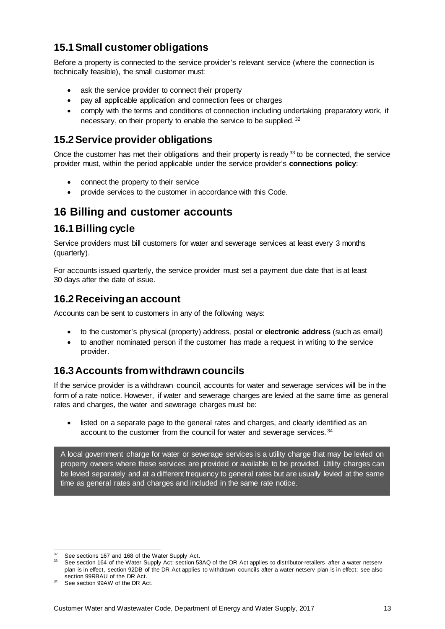## <span id="page-17-0"></span>**15.1Small customer obligations**

Before a property is connected to the service provider's relevant service (where the connection is technically feasible), the small customer must:

- ask the service provider to connect their property
- pay all applicable application and connection fees or charges
- comply with the terms and conditions of connection including undertaking preparatory work, if necessary, on their property to enable the service to be supplied. [32](#page-17-6)

## <span id="page-17-1"></span>**15.2Service provider obligations**

Once the customer has met their obligations and their property is ready <sup>[33](#page-17-7)</sup> to be connected, the service provider must, within the period applicable under the service provider's **connections policy**:

- connect the property to their service
- provide services to the customer in accordance with this Code.

## <span id="page-17-2"></span>**16 Billing and customer accounts**

### <span id="page-17-3"></span>**16.1Billing cycle**

Service providers must bill customers for water and sewerage services at least every 3 months (quarterly).

For accounts issued quarterly, the service provider must set a payment due date that is at least 30 days after the date of issue.

### <span id="page-17-4"></span>**16.2Receiving an account**

Accounts can be sent to customers in any of the following ways:

- to the customer's physical (property) address, postal or **electronic address** (such as email)
- to another nominated person if the customer has made a request in writing to the service provider.

## <span id="page-17-5"></span>**16.3Accounts from withdrawn councils**

If the service provider is a withdrawn council, accounts for water and sewerage services will be in the form of a rate notice. However, if water and sewerage charges are levied at the same time as general rates and charges, the water and sewerage charges must be:

• listed on a separate page to the general rates and charges, and clearly identified as an account to the customer from the council for water and sewerage services. [34](#page-17-8)

A local government charge for water or sewerage services is a utility charge that may be levied on property owners where these services are provided or available to be provided. Utility charges can be levied separately and at a different frequency to general rates but are usually levied at the same time as general rates and charges and included in the same rate notice.

<span id="page-17-6"></span><sup>&</sup>lt;sup>32</sup> See sections 167 and 168 of the Water Supply Act.

<span id="page-17-7"></span><sup>33</sup> See section 164 of the Water Supply Act; section 53AQ of the DR Act applies to distributor-retailers after a water netserv plan is in effect, section 92DB of the DR Act applies to withdrawn councils after a water netserv plan is in effect; see also section 99RBAU of the DR Act.

<span id="page-17-8"></span><sup>34</sup> See section 99AW of the DR Act.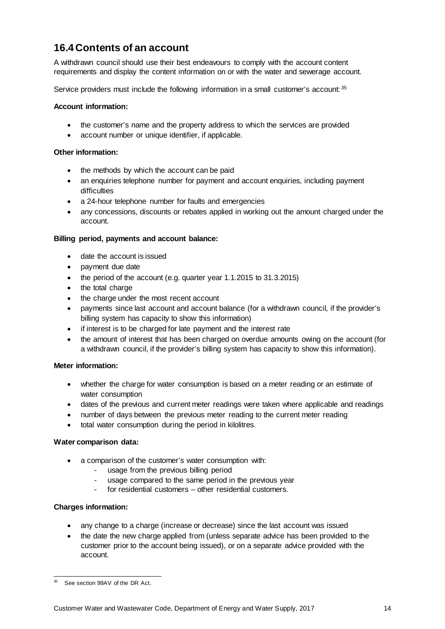## <span id="page-18-0"></span>**16.4Contents of an account**

A withdrawn council should use their best endeavours to comply with the account content requirements and display the content information on or with the water and sewerage account.

Service providers must include the following information in a small customer's account: [35](#page-18-1)

#### **Account information:**

- the customer's name and the property address to which the services are provided
- account number or unique identifier, if applicable.

#### **Other information:**

- the methods by which the account can be paid
- an enquiries telephone number for payment and account enquiries, including payment difficulties
- a 24-hour telephone number for faults and emergencies
- any concessions, discounts or rebates applied in working out the amount charged under the account.

#### **Billing period, payments and account balance:**

- date the account is issued
- payment due date
- the period of the account (e.g. quarter year 1.1.2015 to 31.3.2015)
- the total charge
- the charge under the most recent account
- payments since last account and account balance (for a withdrawn council, if the provider's billing system has capacity to show this information)
- if interest is to be charged for late payment and the interest rate
- the amount of interest that has been charged on overdue amounts owing on the account (for a withdrawn council, if the provider's billing system has capacity to show this information).

#### **Meter information:**

- whether the charge for water consumption is based on a meter reading or an estimate of water consumption
- dates of the previous and current meter readings were taken where applicable and readings
- number of days between the previous meter reading to the current meter reading
- total water consumption during the period in kilolitres.

#### **Water comparison data:**

- a comparison of the customer's water consumption with:
	- usage from the previous billing period
	- usage compared to the same period in the previous year
	- for residential customers other residential customers.

#### **Charges information:**

- any change to a charge (increase or decrease) since the last account was issued
- the date the new charge applied from (unless separate advice has been provided to the customer prior to the account being issued), or on a separate advice provided with the account.

<span id="page-18-1"></span><sup>&</sup>lt;sup>35</sup> See section 99AV of the DR Act.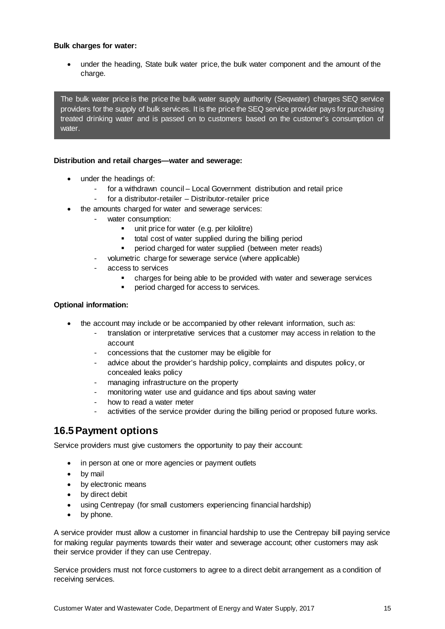#### **Bulk charges for water:**

• under the heading, State bulk water price, the bulk water component and the amount of the charge.

The bulk water price is the price the bulk water supply authority (Seqwater) charges SEQ service providers for the supply of bulk services. It is the price the SEQ service provider pays for purchasing treated drinking water and is passed on to customers based on the customer's consumption of water.

#### **Distribution and retail charges—water and sewerage:**

- under the headings of:
	- for a withdrawn council Local Government distribution and retail price
	- for a distributor-retailer Distributor-retailer price
- the amounts charged for water and sewerage services:
	- water consumption:
		- unit price for water (e.g. per kilolitre)
		- total cost of water supplied during the billing period
		- **Period charged for water supplied (between meter reads)**
		- volumetric charge for sewerage service (where applicable)
		- access to services
			- charges for being able to be provided with water and sewerage services
			- period charged for access to services.

#### **Optional information:**

- the account may include or be accompanied by other relevant information, such as:
	- translation or interpretative services that a customer may access in relation to the account
	- concessions that the customer may be eligible for
	- advice about the provider's hardship policy, complaints and disputes policy, or concealed leaks policy
	- managing infrastructure on the property
	- monitoring water use and guidance and tips about saving water
	- how to read a water meter
	- activities of the service provider during the billing period or proposed future works.

### <span id="page-19-0"></span>**16.5Payment options**

Service providers must give customers the opportunity to pay their account:

- in person at one or more agencies or payment outlets
- by mail
- by electronic means
- by direct debit
- using Centrepay (for small customers experiencing financial hardship)
- by phone.

A service provider must allow a customer in financial hardship to use the Centrepay bill paying service for making regular payments towards their water and sewerage account; other customers may ask their service provider if they can use Centrepay.

Service providers must not force customers to agree to a direct debit arrangement as a condition of receiving services.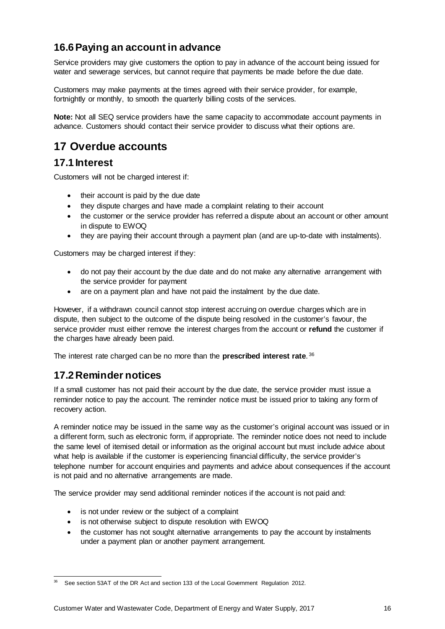## <span id="page-20-0"></span>**16.6Paying an account in advance**

Service providers may give customers the option to pay in advance of the account being issued for water and sewerage services, but cannot require that payments be made before the due date.

Customers may make payments at the times agreed with their service provider, for example, fortnightly or monthly, to smooth the quarterly billing costs of the services.

**Note:** Not all SEQ service providers have the same capacity to accommodate account payments in advance. Customers should contact their service provider to discuss what their options are.

# <span id="page-20-1"></span>**17 Overdue accounts**

### <span id="page-20-2"></span>**17.1 Interest**

Customers will not be charged interest if:

- their account is paid by the due date
- they dispute charges and have made a complaint relating to their account
- the customer or the service provider has referred a dispute about an account or other amount in dispute to EWOQ
- they are paying their account through a payment plan (and are up-to-date with instalments).

Customers may be charged interest if they:

- do not pay their account by the due date and do not make any alternative arrangement with the service provider for payment
- are on a payment plan and have not paid the instalment by the due date.

However, if a withdrawn council cannot stop interest accruing on overdue charges which are in dispute, then subject to the outcome of the dispute being resolved in the customer's favour, the service provider must either remove the interest charges from the account or **refund** the customer if the charges have already been paid.

The interest rate charged can be no more than the **prescribed interest rate**. [36](#page-20-4)

### <span id="page-20-3"></span>**17.2Reminder notices**

If a small customer has not paid their account by the due date, the service provider must issue a reminder notice to pay the account. The reminder notice must be issued prior to taking any form of recovery action.

A reminder notice may be issued in the same way as the customer's original account was issued or in a different form, such as electronic form, if appropriate. The reminder notice does not need to include the same level of itemised detail or information as the original account but must include advice about what help is available if the customer is experiencing financial difficulty, the service provider's telephone number for account enquiries and payments and advice about consequences if the account is not paid and no alternative arrangements are made.

The service provider may send additional reminder notices if the account is not paid and:

- is not under review or the subject of a complaint
- is not otherwise subject to dispute resolution with EWOQ
- the customer has not sought alternative arrangements to pay the account by instalments under a payment plan or another payment arrangement.

<span id="page-20-4"></span> <sup>36</sup> See section 53AT of the DR Act and section 133 of the Local Government Regulation 2012.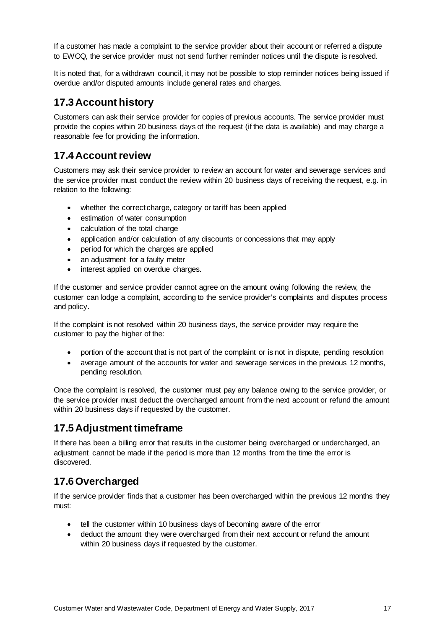If a customer has made a complaint to the service provider about their account or referred a dispute to EWOQ, the service provider must not send further reminder notices until the dispute is resolved.

It is noted that, for a withdrawn council, it may not be possible to stop reminder notices being issued if overdue and/or disputed amounts include general rates and charges.

### <span id="page-21-0"></span>**17.3Account history**

Customers can ask their service provider for copies of previous accounts. The service provider must provide the copies within 20 business days of the request (if the data is available) and may charge a reasonable fee for providing the information.

### <span id="page-21-1"></span>**17.4Account review**

Customers may ask their service provider to review an account for water and sewerage services and the service provider must conduct the review within 20 business days of receiving the request, e.g. in relation to the following:

- whether the correct charge, category or tariff has been applied
- estimation of water consumption
- calculation of the total charge
- application and/or calculation of any discounts or concessions that may apply
- period for which the charges are applied
- an adjustment for a faulty meter
- interest applied on overdue charges.

If the customer and service provider cannot agree on the amount owing following the review, the customer can lodge a complaint, according to the service provider's complaints and disputes process and policy.

If the complaint is not resolved within 20 business days, the service provider may require the customer to pay the higher of the:

- portion of the account that is not part of the complaint or is not in dispute, pending resolution
- average amount of the accounts for water and sewerage services in the previous 12 months, pending resolution.

Once the complaint is resolved, the customer must pay any balance owing to the service provider, or the service provider must deduct the overcharged amount from the next account or refund the amount within 20 business days if requested by the customer.

### <span id="page-21-2"></span>**17.5Adjustment timeframe**

If there has been a billing error that results in the customer being overcharged or undercharged, an adjustment cannot be made if the period is more than 12 months from the time the error is discovered.

## <span id="page-21-3"></span>**17.6Overcharged**

If the service provider finds that a customer has been overcharged within the previous 12 months they must:

- tell the customer within 10 business days of becoming aware of the error
- deduct the amount they were overcharged from their next account or refund the amount within 20 business days if requested by the customer.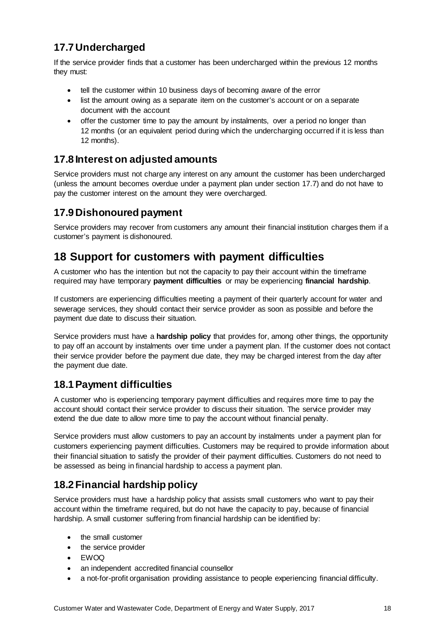# <span id="page-22-0"></span>**17.7Undercharged**

If the service provider finds that a customer has been undercharged within the previous 12 months they must:

- tell the customer within 10 business days of becoming aware of the error
- list the amount owing as a separate item on the customer's account or on a separate document with the account
- offer the customer time to pay the amount by instalments, over a period no longer than 12 months (or an equivalent period during which the undercharging occurred if it is less than 12 months).

## <span id="page-22-1"></span>**17.8 Interest on adjusted amounts**

Service providers must not charge any interest on any amount the customer has been undercharged (unless the amount becomes overdue under a payment plan under section 17.7) and do not have to pay the customer interest on the amount they were overcharged.

## <span id="page-22-2"></span>**17.9Dishonoured payment**

Service providers may recover from customers any amount their financial institution charges them if a customer's payment is dishonoured.

# <span id="page-22-3"></span>**18 Support for customers with payment difficulties**

A customer who has the intention but not the capacity to pay their account within the timeframe required may have temporary **payment difficulties** or may be experiencing **financial hardship**.

If customers are experiencing difficulties meeting a payment of their quarterly account for water and sewerage services, they should contact their service provider as soon as possible and before the payment due date to discuss their situation.

Service providers must have a **hardship policy** that provides for, among other things, the opportunity to pay off an account by instalments over time under a payment plan. If the customer does not contact their service provider before the payment due date, they may be charged interest from the day after the payment due date.

## <span id="page-22-4"></span>**18.1Payment difficulties**

A customer who is experiencing temporary payment difficulties and requires more time to pay the account should contact their service provider to discuss their situation. The service provider may extend the due date to allow more time to pay the account without financial penalty.

Service providers must allow customers to pay an account by instalments under a payment plan for customers experiencing payment difficulties. Customers may be required to provide information about their financial situation to satisfy the provider of their payment difficulties. Customers do not need to be assessed as being in financial hardship to access a payment plan.

# <span id="page-22-5"></span>**18.2Financial hardship policy**

Service providers must have a hardship policy that assists small customers who want to pay their account within the timeframe required, but do not have the capacity to pay, because of financial hardship. A small customer suffering from financial hardship can be identified by:

- the small customer
- the service provider
- EWOQ
- an independent accredited financial counsellor
- a not-for-profit organisation providing assistance to people experiencing financial difficulty.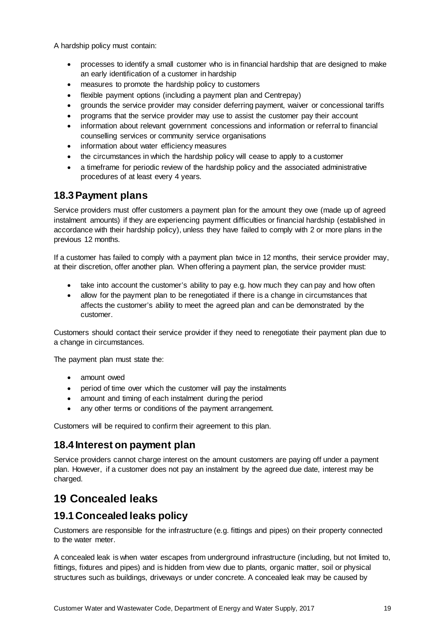A hardship policy must contain:

- processes to identify a small customer who is in financial hardship that are designed to make an early identification of a customer in hardship
- measures to promote the hardship policy to customers
- flexible payment options (including a payment plan and Centrepay)
- grounds the service provider may consider deferring payment, waiver or concessional tariffs
- programs that the service provider may use to assist the customer pay their account
- information about relevant government concessions and information or referral to financial counselling services or community service organisations
- information about water efficiency measures
- the circumstances in which the hardship policy will cease to apply to a customer
- a timeframe for periodic review of the hardship policy and the associated administrative procedures of at least every 4 years.

### <span id="page-23-0"></span>**18.3Payment plans**

Service providers must offer customers a payment plan for the amount they owe (made up of agreed instalment amounts) if they are experiencing payment difficulties or financial hardship (established in accordance with their hardship policy), unless they have failed to comply with 2 or more plans in the previous 12 months.

If a customer has failed to comply with a payment plan twice in 12 months, their service provider may, at their discretion, offer another plan. When offering a payment plan, the service provider must:

- take into account the customer's ability to pay e.g. how much they can pay and how often
- allow for the payment plan to be renegotiated if there is a change in circumstances that affects the customer's ability to meet the agreed plan and can be demonstrated by the customer.

Customers should contact their service provider if they need to renegotiate their payment plan due to a change in circumstances.

The payment plan must state the:

- amount owed
- period of time over which the customer will pay the instalments
- amount and timing of each instalment during the period
- any other terms or conditions of the payment arrangement.

Customers will be required to confirm their agreement to this plan.

### <span id="page-23-1"></span>**18.4 Interest on payment plan**

Service providers cannot charge interest on the amount customers are paying off under a payment plan. However, if a customer does not pay an instalment by the agreed due date, interest may be charged.

# <span id="page-23-2"></span>**19 Concealed leaks**

### <span id="page-23-3"></span>**19.1Concealed leaks policy**

Customers are responsible for the infrastructure (e.g. fittings and pipes) on their property connected to the water meter.

A concealed leak is when water escapes from underground infrastructure (including, but not limited to, fittings, fixtures and pipes) and is hidden from view due to plants, organic matter, soil or physical structures such as buildings, driveways or under concrete. A concealed leak may be caused by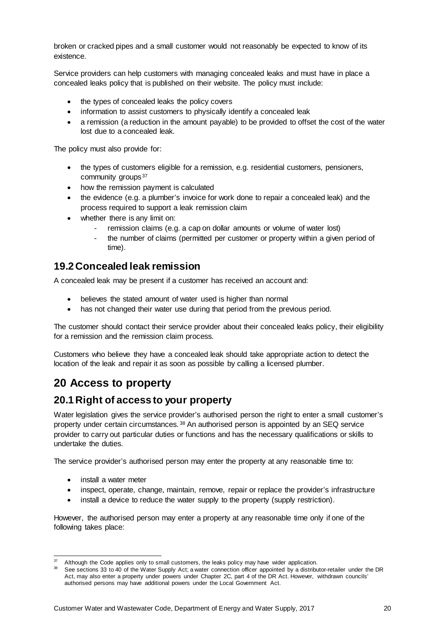broken or cracked pipes and a small customer would not reasonably be expected to know of its existence.

Service providers can help customers with managing concealed leaks and must have in place a concealed leaks policy that is published on their website. The policy must include:

- the types of concealed leaks the policy covers
- information to assist customers to physically identify a concealed leak
- a remission (a reduction in the amount payable) to be provided to offset the cost of the water lost due to a concealed leak.

The policy must also provide for:

- the types of customers eligible for a remission, e.g. residential customers, pensioners, community groups<sup>[37](#page-24-3)</sup>
- how the remission payment is calculated
- the evidence (e.g. a plumber's invoice for work done to repair a concealed leak) and the process required to support a leak remission claim
- whether there is any limit on:
	- remission claims (e.g. a cap on dollar amounts or volume of water lost)
	- the number of claims (permitted per customer or property within a given period of time).

### <span id="page-24-0"></span>**19.2Concealed leak remission**

A concealed leak may be present if a customer has received an account and:

- believes the stated amount of water used is higher than normal
- has not changed their water use during that period from the previous period.

The customer should contact their service provider about their concealed leaks policy, their eligibility for a remission and the remission claim process.

Customers who believe they have a concealed leak should take appropriate action to detect the location of the leak and repair it as soon as possible by calling a licensed plumber.

# <span id="page-24-1"></span>**20 Access to property**

### <span id="page-24-2"></span>**20.1Right of access to your property**

Water legislation gives the service provider's authorised person the right to enter a small customer's property under certain circumstances. [38](#page-24-4) An authorised person is appointed by an SEQ service provider to carry out particular duties or functions and has the necessary qualifications or skills to undertake the duties.

The service provider's authorised person may enter the property at any reasonable time to:

- install a water meter
- inspect, operate, change, maintain, remove, repair or replace the provider's infrastructure
- install a device to reduce the water supply to the property (supply restriction).

However, the authorised person may enter a property at any reasonable time only if one of the following takes place:

<span id="page-24-3"></span>Although the Code applies only to small customers, the leaks policy may have wider application.

<span id="page-24-4"></span><sup>38</sup> See sections 33 to 40 of the Water Supply Act; a water connection officer appointed by a distributor-retailer under the DR Act, may also enter a property under powers under Chapter 2C, part 4 of the DR Act. However, withdrawn councils' authorised persons may have additional powers under the Local Government Act.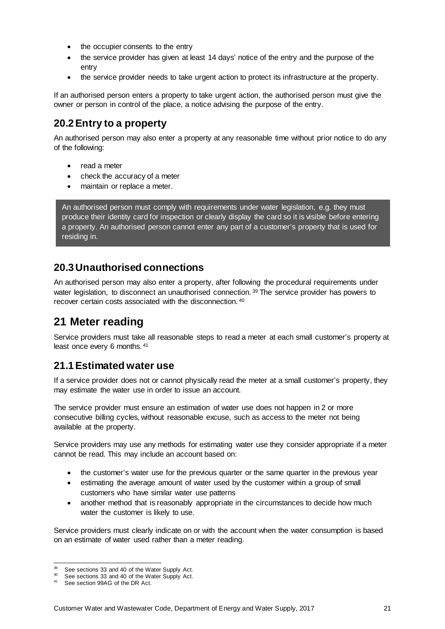- the occupier consents to the entry
- the service provider has given at least 14 days' notice of the entry and the purpose of the entry
- the service provider needs to take urgent action to protect its infrastructure at the property.

If an authorised person enters a property to take urgent action, the authorised person must give the owner or person in control of the place, a notice advising the purpose of the entry.

### <span id="page-25-0"></span>**20.2Entry to a property**

An authorised person may also enter a property at any reasonable time without prior notice to do any of the following:

- read a meter
- check the accuracy of a meter
- maintain or replace a meter.

An authorised person must comply with requirements under water legislation, e.g. they must produce their identity card for inspection or clearly display the card so it is visible before entering a property. An authorised person cannot enter any part of a customer's property that is used for residing in.

### <span id="page-25-1"></span>**20.3Unauthorised connections**

An authorised person may also enter a property, after following the procedural requirements under water legislation, to disconnect an unauthorised connection.<sup>[39](#page-25-4)</sup> The service provider has powers to recover certain costs associated with the disconnection. [40](#page-25-5)

# <span id="page-25-2"></span>**21 Meter reading**

Service providers must take all reasonable steps to read a meter at each small customer's property at least once every 6 months. [41](#page-25-6)

### <span id="page-25-3"></span>**21.1Estimated water use**

If a service provider does not or cannot physically read the meter at a small customer's property, they may estimate the water use in order to issue an account.

The service provider must ensure an estimation of water use does not happen in 2 or more consecutive billing cycles, without reasonable excuse, such as access to the meter not being available at the property.

Service providers may use any methods for estimating water use they consider appropriate if a meter cannot be read. This may include an account based on:

- the customer's water use for the previous quarter or the same quarter in the previous year
- estimating the average amount of water used by the customer within a group of small customers who have similar water use patterns
- another method that is reasonably appropriate in the circumstances to decide how much water the customer is likely to use.

Service providers must clearly indicate on or with the account when the water consumption is based on an estimate of water used rather than a meter reading.

<span id="page-25-4"></span> <sup>39</sup> See sections 33 and 40 of the Water Supply Act.

<span id="page-25-6"></span><span id="page-25-5"></span><sup>&</sup>lt;sup>40</sup> See sections 33 and 40 of the Water Supply Act.<br> $^{41}$  See section 90AG of the DB Act.

See section 99AG of the DR Act.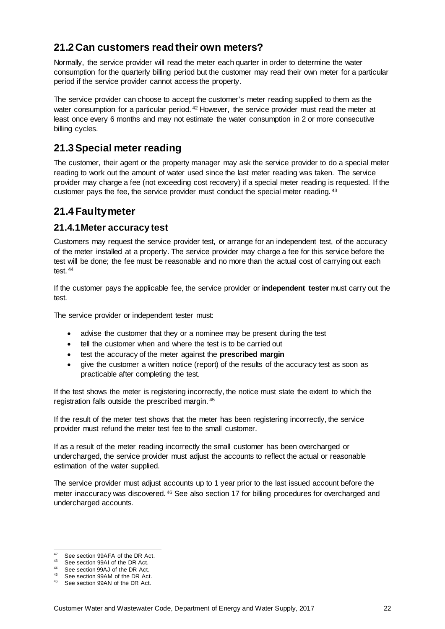## <span id="page-26-0"></span>**21.2Can customers read their own meters?**

Normally, the service provider will read the meter each quarter in order to determine the water consumption for the quarterly billing period but the customer may read their own meter for a particular period if the service provider cannot access the property.

The service provider can choose to accept the customer's meter reading supplied to them as the water consumption for a particular period. <sup>[42](#page-26-4)</sup> However, the service provider must read the meter at least once every 6 months and may not estimate the water consumption in 2 or more consecutive billing cycles.

## <span id="page-26-1"></span>**21.3Special meter reading**

The customer, their agent or the property manager may ask the service provider to do a special meter reading to work out the amount of water used since the last meter reading was taken. The service provider may charge a fee (not exceeding cost recovery) if a special meter reading is requested. If the customer pays the fee, the service provider must conduct the special meter reading. [43](#page-26-5)

## <span id="page-26-2"></span>**21.4Faulty meter**

### <span id="page-26-3"></span>**21.4.1Meter accuracy test**

Customers may request the service provider test, or arrange for an independent test, of the accuracy of the meter installed at a property. The service provider may charge a fee for this service before the test will be done; the fee must be reasonable and no more than the actual cost of carrying out each test. [44](#page-26-6)

If the customer pays the applicable fee, the service provider or **independent tester** must carry out the test.

The service provider or independent tester must:

- advise the customer that they or a nominee may be present during the test
- tell the customer when and where the test is to be carried out
- test the accuracy of the meter against the **prescribed margin**
- give the customer a written notice (report) of the results of the accuracy test as soon as practicable after completing the test.

If the test shows the meter is registering incorrectly, the notice must state the extent to which the registration falls outside the prescribed margin. [45](#page-26-7)

If the result of the meter test shows that the meter has been registering incorrectly, the service provider must refund the meter test fee to the small customer.

If as a result of the meter reading incorrectly the small customer has been overcharged or undercharged, the service provider must adjust the accounts to reflect the actual or reasonable estimation of the water supplied.

The service provider must adjust accounts up to 1 year prior to the last issued account before the meter inaccuracy was discovered. [46](#page-26-8) See also section 17 for billing procedures for overcharged and undercharged accounts.

<span id="page-26-4"></span><sup>&</sup>lt;sup>42</sup> See section 99AFA of the DR Act.<br><sup>43</sup> See section 99AI of the DR Act.

See section 99AI of the DR Act.

<span id="page-26-6"></span><span id="page-26-5"></span><sup>44</sup> See section 99AJ of the DR Act.

<span id="page-26-8"></span><span id="page-26-7"></span><sup>&</sup>lt;sup>45</sup> See section 99AM of the DR Act.<br><sup>46</sup> See section 99AM of the DR Act.

See section 99AN of the DR Act.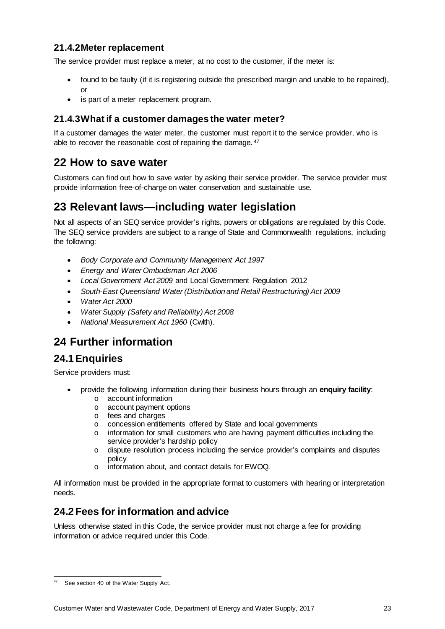### <span id="page-27-0"></span>**21.4.2Meter replacement**

The service provider must replace a meter, at no cost to the customer, if the meter is:

- found to be faulty (if it is registering outside the prescribed margin and unable to be repaired), or
- is part of a meter replacement program.

### <span id="page-27-1"></span>**21.4.3What if a customer damages the water meter?**

If a customer damages the water meter, the customer must report it to the service provider, who is able to recover the reasonable cost of repairing the damage.  $47$ 

## <span id="page-27-2"></span>**22 How to save water**

Customers can find out how to save water by asking their service provider. The service provider must provide information free-of-charge on water conservation and sustainable use.

# <span id="page-27-3"></span>**23 Relevant laws—including water legislation**

Not all aspects of an SEQ service provider's rights, powers or obligations are regulated by this Code. The SEQ service providers are subject to a range of State and Commonwealth regulations, including the following:

- *Body Corporate and Community Management Act 1997*
- *Energy and Water Ombudsman Act 2006*
- *Local Government Act 2009* and Local Government Regulation 2012
- *South-East Queensland Water (Distribution and Retail Restructuring) Act 2009*
- *Water Act 2000*
- *Water Supply (Safety and Reliability) Act 2008*
- *National Measurement Act 1960* (Cwlth).

## <span id="page-27-4"></span>**24 Further information**

### <span id="page-27-5"></span>**24.1Enquiries**

Service providers must:

- provide the following information during their business hours through an **enquiry facility**:
	- o account information
	- o account payment options
	- o fees and charges
	- o concession entitlements offered by State and local governments
	- o information for small customers who are having payment difficulties including the service provider's hardship policy
	- o dispute resolution process including the service provider's complaints and disputes policy
	- o information about, and contact details for EWOQ.

All information must be provided in the appropriate format to customers with hearing or interpretation needs.

### <span id="page-27-6"></span>**24.2Fees for information and advice**

Unless otherwise stated in this Code, the service provider must not charge a fee for providing information or advice required under this Code.

<span id="page-27-7"></span><sup>47</sup> See section 40 of the Water Supply Act.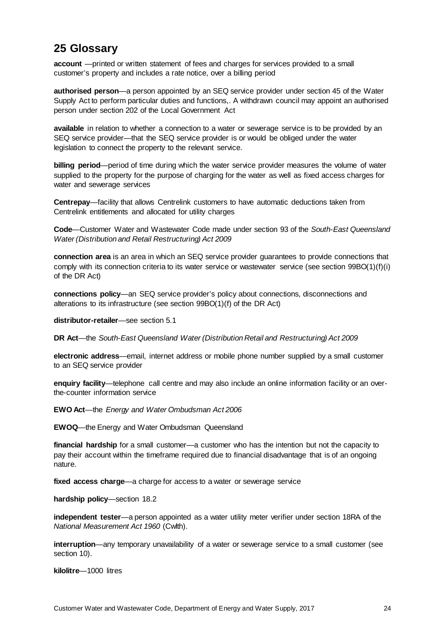## <span id="page-28-0"></span>**25 Glossary**

**account** —printed or written statement of fees and charges for services provided to a small customer's property and includes a rate notice, over a billing period

**authorised person**—a person appointed by an SEQ service provider under section 45 of the Water Supply Act to perform particular duties and functions,. A withdrawn council may appoint an authorised person under section 202 of the Local Government Act

**available** in relation to whether a connection to a water or sewerage service is to be provided by an SEQ service provider—that the SEQ service provider is or would be obliged under the water legislation to connect the property to the relevant service.

**billing period**—period of time during which the water service provider measures the volume of water supplied to the property for the purpose of charging for the water as well as fixed access charges for water and sewerage services

**Centrepay**—facility that allows Centrelink customers to have automatic deductions taken from Centrelink entitlements and allocated for utility charges

**Code**—Customer Water and Wastewater Code made under section 93 of the *South-East Queensland Water (Distribution and Retail Restructuring) Act 2009*

**connection area** is an area in which an SEQ service provider guarantees to provide connections that comply with its connection criteria to its water service or wastewater service (see section 99BO(1)(f)(i) of the DR Act)

**connections policy**—an SEQ service provider's policy about connections, disconnections and alterations to its infrastructure (see section 99BO(1)(f) of the DR Act)

**distributor-retailer**—see section 5.1

**DR Act**—the *South-East Queensland Water (Distribution Retail and Restructuring) Act 2009*

**electronic address**—email, internet address or mobile phone number supplied by a small customer to an SEQ service provider

**enquiry facility**—telephone call centre and may also include an online information facility or an overthe-counter information service

**EWO Act**—the *Energy and Water Ombudsman Act 2006*

**EWOQ**—the Energy and Water Ombudsman Queensland

**financial hardship** for a small customer—a customer who has the intention but not the capacity to pay their account within the timeframe required due to financial disadvantage that is of an ongoing nature.

**fixed access charge**—a charge for access to a water or sewerage service

**hardship policy**—section 18.2

**independent tester**—a person appointed as a water utility meter verifier under section 18RA of the *National Measurement Act 1960* (Cwlth).

**interruption**—any temporary unavailability of a water or sewerage service to a small customer (see section 10).

**kilolitre**—1000 litres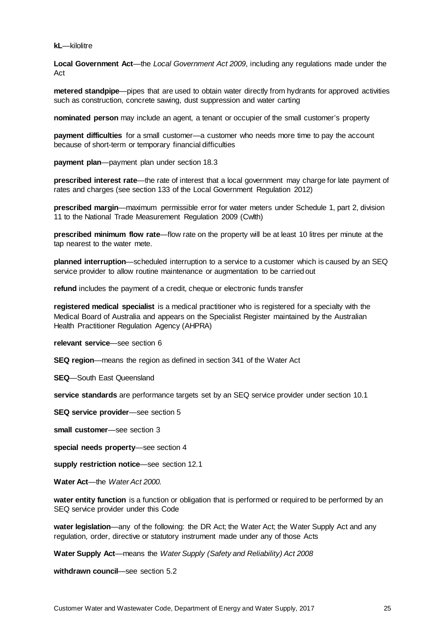#### **kL**—kilolitre

**Local Government Act**—the *Local Government Act 2009*, including any regulations made under the Act

**metered standpipe**—pipes that are used to obtain water directly from hydrants for approved activities such as construction, concrete sawing, dust suppression and water carting

**nominated person** may include an agent, a tenant or occupier of the small customer's property

**payment difficulties** for a small customer—a customer who needs more time to pay the account because of short-term or temporary financial difficulties

**payment plan**—payment plan under section 18.3

**prescribed interest rate**—the rate of interest that a local government may charge for late payment of rates and charges (see section 133 of the Local Government Regulation 2012)

**prescribed margin**—maximum permissible error for water meters under Schedule 1, part 2, division 11 to the National Trade Measurement Regulation 2009 (Cwlth)

**prescribed minimum flow rate**—flow rate on the property will be at least 10 litres per minute at the tap nearest to the water mete.

**planned interruption**—scheduled interruption to a service to a customer which is caused by an SEQ service provider to allow routine maintenance or augmentation to be carried out

**refund** includes the payment of a credit, cheque or electronic funds transfer

**registered medical specialist** is a medical practitioner who is registered for a specialty with the Medical Board of Australia and appears on the Specialist Register maintained by the Australian Health Practitioner Regulation Agency (AHPRA)

**relevant service**—see section 6

**SEQ region**—means the region as defined in section 341 of the Water Act

**SEQ**—South East Queensland

**service standards** are performance targets set by an SEQ service provider under section 10.1

**SEQ service provider**—see section 5

**small customer**—see section 3

**special needs property**—see section 4

**supply restriction notice**—see section 12.1

**Water Act**—the *Water Act 2000.*

**water entity function** is a function or obligation that is performed or required to be performed by an SEQ service provider under this Code

**water legislation**—any of the following: the DR Act; the Water Act; the Water Supply Act and any regulation, order, directive or statutory instrument made under any of those Acts

**Water Supply Act**—means the *Water Supply (Safety and Reliability) Act 2008*

**withdrawn council**—see section 5.2